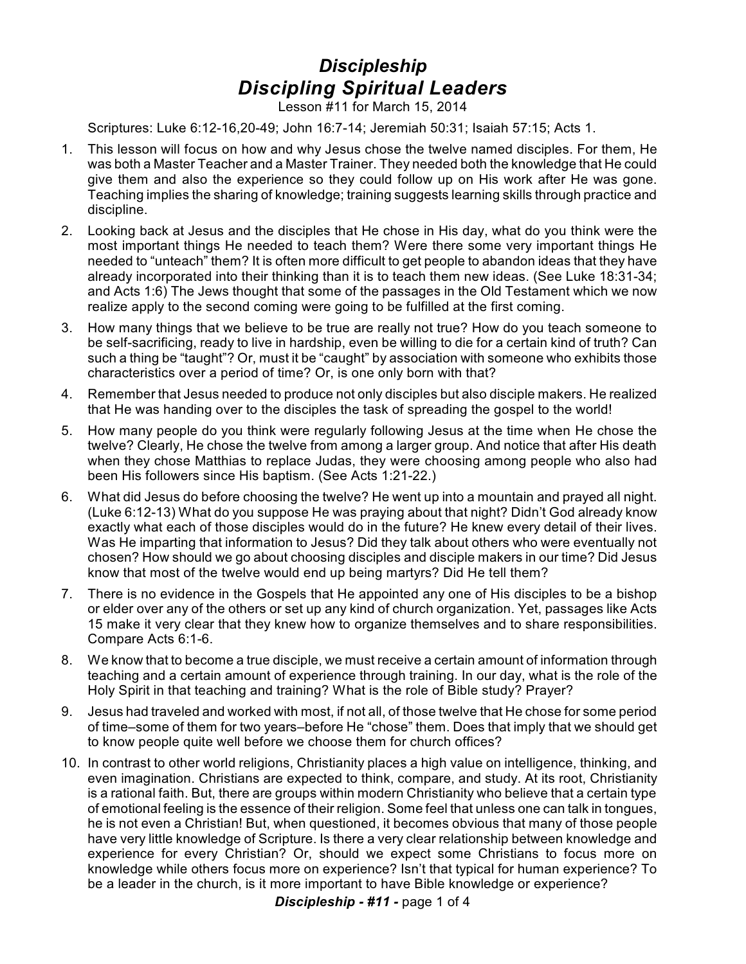## *Discipleship Discipling Spiritual Leaders*

Lesson #11 for March 15, 2014

Scriptures: Luke 6:12-16,20-49; John 16:7-14; Jeremiah 50:31; Isaiah 57:15; Acts 1.

- 1. This lesson will focus on how and why Jesus chose the twelve named disciples. For them, He was both a Master Teacher and a Master Trainer. They needed both the knowledge that He could give them and also the experience so they could follow up on His work after He was gone. Teaching implies the sharing of knowledge; training suggests learning skills through practice and discipline.
- 2. Looking back at Jesus and the disciples that He chose in His day, what do you think were the most important things He needed to teach them? Were there some very important things He needed to "unteach" them? It is often more difficult to get people to abandon ideas that they have already incorporated into their thinking than it is to teach them new ideas. (See Luke 18:31-34; and Acts 1:6) The Jews thought that some of the passages in the Old Testament which we now realize apply to the second coming were going to be fulfilled at the first coming.
- 3. How many things that we believe to be true are really not true? How do you teach someone to be self-sacrificing, ready to live in hardship, even be willing to die for a certain kind of truth? Can such a thing be "taught"? Or, must it be "caught" by association with someone who exhibits those characteristics over a period of time? Or, is one only born with that?
- 4. Remember that Jesus needed to produce not only disciples but also disciple makers. He realized that He was handing over to the disciples the task of spreading the gospel to the world!
- 5. How many people do you think were regularly following Jesus at the time when He chose the twelve? Clearly, He chose the twelve from among a larger group. And notice that after His death when they chose Matthias to replace Judas, they were choosing among people who also had been His followers since His baptism. (See Acts 1:21-22.)
- 6. What did Jesus do before choosing the twelve? He went up into a mountain and prayed all night. (Luke 6:12-13) What do you suppose He was praying about that night? Didn't God already know exactly what each of those disciples would do in the future? He knew every detail of their lives. Was He imparting that information to Jesus? Did they talk about others who were eventually not chosen? How should we go about choosing disciples and disciple makers in our time? Did Jesus know that most of the twelve would end up being martyrs? Did He tell them?
- 7. There is no evidence in the Gospels that He appointed any one of His disciples to be a bishop or elder over any of the others or set up any kind of church organization. Yet, passages like Acts 15 make it very clear that they knew how to organize themselves and to share responsibilities. Compare Acts 6:1-6.
- 8. We know that to become a true disciple, we must receive a certain amount of information through teaching and a certain amount of experience through training. In our day, what is the role of the Holy Spirit in that teaching and training? What is the role of Bible study? Prayer?
- 9. Jesus had traveled and worked with most, if not all, of those twelve that He chose for some period of time–some of them for two years–before He "chose" them. Does that imply that we should get to know people quite well before we choose them for church offices?
- 10. In contrast to other world religions, Christianity places a high value on intelligence, thinking, and even imagination. Christians are expected to think, compare, and study. At its root, Christianity is a rational faith. But, there are groups within modern Christianity who believe that a certain type of emotional feeling is the essence of their religion. Some feel that unless one can talk in tongues, he is not even a Christian! But, when questioned, it becomes obvious that many of those people have very little knowledge of Scripture. Is there a very clear relationship between knowledge and experience for every Christian? Or, should we expect some Christians to focus more on knowledge while others focus more on experience? Isn't that typical for human experience? To be a leader in the church, is it more important to have Bible knowledge or experience?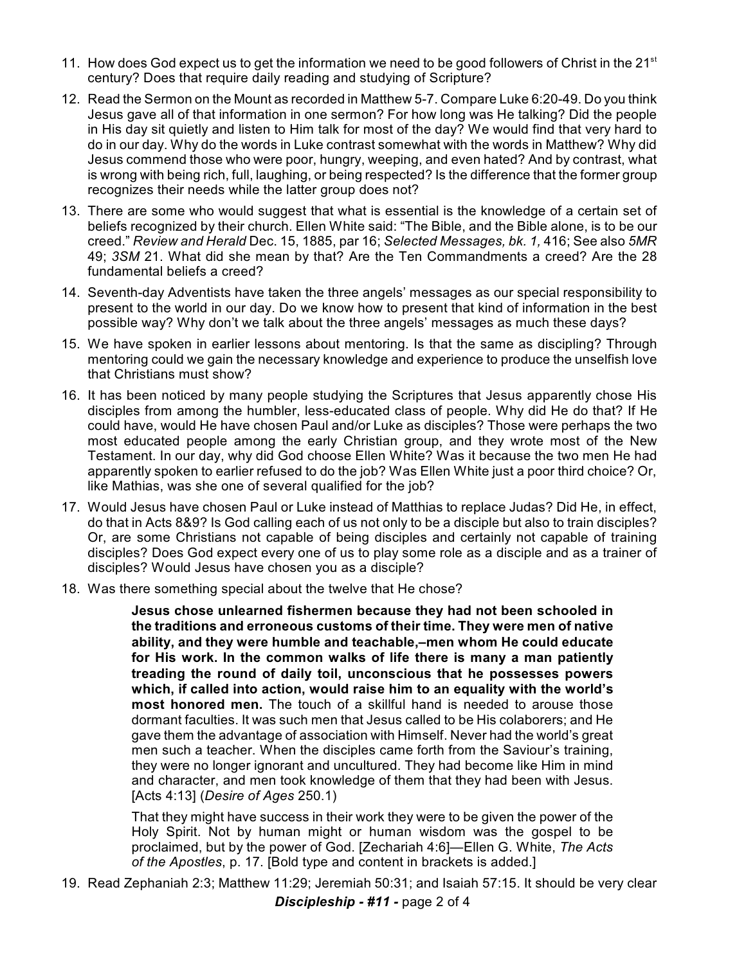- 11. How does God expect us to get the information we need to be good followers of Christ in the 21<sup>st</sup> century? Does that require daily reading and studying of Scripture?
- 12. Read the Sermon on the Mount as recorded in Matthew 5-7. Compare Luke 6:20-49. Do you think Jesus gave all of that information in one sermon? For how long was He talking? Did the people in His day sit quietly and listen to Him talk for most of the day? We would find that very hard to do in our day. Why do the words in Luke contrast somewhat with the words in Matthew? Why did Jesus commend those who were poor, hungry, weeping, and even hated? And by contrast, what is wrong with being rich, full, laughing, or being respected? Is the difference that the former group recognizes their needs while the latter group does not?
- 13. There are some who would suggest that what is essential is the knowledge of a certain set of beliefs recognized by their church. Ellen White said: "The Bible, and the Bible alone, is to be our creed." *Review and Herald* Dec. 15, 1885, par 16; *Selected Messages, bk. 1,* 416; See also *5MR* 49; *3SM* 21. What did she mean by that? Are the Ten Commandments a creed? Are the 28 fundamental beliefs a creed?
- 14. Seventh-day Adventists have taken the three angels' messages as our special responsibility to present to the world in our day. Do we know how to present that kind of information in the best possible way? Why don't we talk about the three angels' messages as much these days?
- 15. We have spoken in earlier lessons about mentoring. Is that the same as discipling? Through mentoring could we gain the necessary knowledge and experience to produce the unselfish love that Christians must show?
- 16. It has been noticed by many people studying the Scriptures that Jesus apparently chose His disciples from among the humbler, less-educated class of people. Why did He do that? If He could have, would He have chosen Paul and/or Luke as disciples? Those were perhaps the two most educated people among the early Christian group, and they wrote most of the New Testament. In our day, why did God choose Ellen White? Was it because the two men He had apparently spoken to earlier refused to do the job? Was Ellen White just a poor third choice? Or, like Mathias, was she one of several qualified for the job?
- 17. Would Jesus have chosen Paul or Luke instead of Matthias to replace Judas? Did He, in effect, do that in Acts 8&9? Is God calling each of us not only to be a disciple but also to train disciples? Or, are some Christians not capable of being disciples and certainly not capable of training disciples? Does God expect every one of us to play some role as a disciple and as a trainer of disciples? Would Jesus have chosen you as a disciple?
- 18. Was there something special about the twelve that He chose?

**Jesus chose unlearned fishermen because they had not been schooled in the traditions and erroneous customs of their time. They were men of native ability, and they were humble and teachable,–men whom He could educate for His work. In the common walks of life there is many a man patiently treading the round of daily toil, unconscious that he possesses powers which, if called into action, would raise him to an equality with the world's most honored men.** The touch of a skillful hand is needed to arouse those dormant faculties. It was such men that Jesus called to be His colaborers; and He gave them the advantage of association with Himself. Never had the world's great men such a teacher. When the disciples came forth from the Saviour's training, they were no longer ignorant and uncultured. They had become like Him in mind and character, and men took knowledge of them that they had been with Jesus. [Acts 4:13] (*Desire of Ages* 250.1)

That they might have success in their work they were to be given the power of the Holy Spirit. Not by human might or human wisdom was the gospel to be proclaimed, but by the power of God. [Zechariah 4:6]—Ellen G. White, *The Acts of the Apostles*, p. 17. [Bold type and content in brackets is added.]

19. Read Zephaniah 2:3; Matthew 11:29; Jeremiah 50:31; and Isaiah 57:15. It should be very clear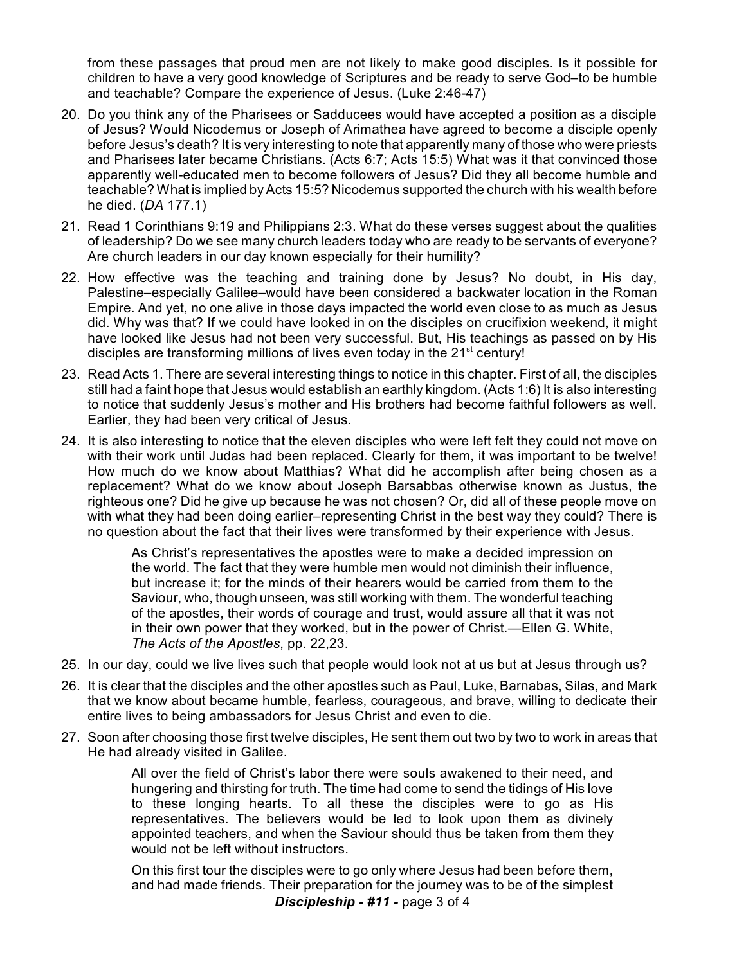from these passages that proud men are not likely to make good disciples. Is it possible for children to have a very good knowledge of Scriptures and be ready to serve God–to be humble and teachable? Compare the experience of Jesus. (Luke 2:46-47)

- 20. Do you think any of the Pharisees or Sadducees would have accepted a position as a disciple of Jesus? Would Nicodemus or Joseph of Arimathea have agreed to become a disciple openly before Jesus's death? It is very interesting to note that apparently many of those who were priests and Pharisees later became Christians. (Acts 6:7; Acts 15:5) What was it that convinced those apparently well-educated men to become followers of Jesus? Did they all become humble and teachable? What is implied by Acts 15:5? Nicodemus supported the church with his wealth before he died. (*DA* 177.1)
- 21. Read 1 Corinthians 9:19 and Philippians 2:3. What do these verses suggest about the qualities of leadership? Do we see many church leaders today who are ready to be servants of everyone? Are church leaders in our day known especially for their humility?
- 22. How effective was the teaching and training done by Jesus? No doubt, in His day, Palestine–especially Galilee–would have been considered a backwater location in the Roman Empire. And yet, no one alive in those days impacted the world even close to as much as Jesus did. Why was that? If we could have looked in on the disciples on crucifixion weekend, it might have looked like Jesus had not been very successful. But, His teachings as passed on by His disciples are transforming millions of lives even today in the  $21<sup>st</sup>$  century!
- 23. Read Acts 1. There are several interesting things to notice in this chapter. First of all, the disciples still had a faint hope that Jesus would establish an earthly kingdom. (Acts 1:6) It is also interesting to notice that suddenly Jesus's mother and His brothers had become faithful followers as well. Earlier, they had been very critical of Jesus.
- 24. It is also interesting to notice that the eleven disciples who were left felt they could not move on with their work until Judas had been replaced. Clearly for them, it was important to be twelve! How much do we know about Matthias? What did he accomplish after being chosen as a replacement? What do we know about Joseph Barsabbas otherwise known as Justus, the righteous one? Did he give up because he was not chosen? Or, did all of these people move on with what they had been doing earlier–representing Christ in the best way they could? There is no question about the fact that their lives were transformed by their experience with Jesus.

As Christ's representatives the apostles were to make a decided impression on the world. The fact that they were humble men would not diminish their influence, but increase it; for the minds of their hearers would be carried from them to the Saviour, who, though unseen, was still working with them. The wonderful teaching of the apostles, their words of courage and trust, would assure all that it was not in their own power that they worked, but in the power of Christ.—Ellen G. White, *The Acts of the Apostles*, pp. 22,23.

- 25. In our day, could we live lives such that people would look not at us but at Jesus through us?
- 26. It is clear that the disciples and the other apostles such as Paul, Luke, Barnabas, Silas, and Mark that we know about became humble, fearless, courageous, and brave, willing to dedicate their entire lives to being ambassadors for Jesus Christ and even to die.
- 27. Soon after choosing those first twelve disciples, He sent them out two by two to work in areas that He had already visited in Galilee.

All over the field of Christ's labor there were souls awakened to their need, and hungering and thirsting for truth. The time had come to send the tidings of His love to these longing hearts. To all these the disciples were to go as His representatives. The believers would be led to look upon them as divinely appointed teachers, and when the Saviour should thus be taken from them they would not be left without instructors.

On this first tour the disciples were to go only where Jesus had been before them, and had made friends. Their preparation for the journey was to be of the simplest *Discipleship - #11 -* page 3 of 4